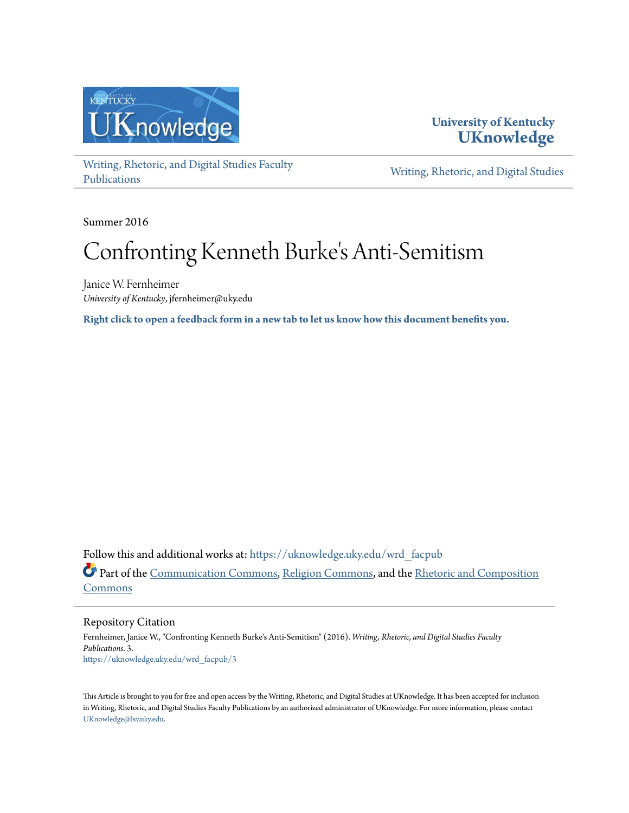

# **University of Kentucky [UKnowledge](https://uknowledge.uky.edu?utm_source=uknowledge.uky.edu%2Fwrd_facpub%2F3&utm_medium=PDF&utm_campaign=PDFCoverPages)**

[Writing, Rhetoric, and Digital Studies Faculty](https://uknowledge.uky.edu/wrd_facpub?utm_source=uknowledge.uky.edu%2Fwrd_facpub%2F3&utm_medium=PDF&utm_campaign=PDFCoverPages) [Publications](https://uknowledge.uky.edu/wrd_facpub?utm_source=uknowledge.uky.edu%2Fwrd_facpub%2F3&utm_medium=PDF&utm_campaign=PDFCoverPages)

[Writing, Rhetoric, and Digital Studies](https://uknowledge.uky.edu/wrd?utm_source=uknowledge.uky.edu%2Fwrd_facpub%2F3&utm_medium=PDF&utm_campaign=PDFCoverPages)

Summer 2016

# Confronting Kenneth Burke 's Anti-Semitism

Janice W. Fernheimer *University of Kentucky*, jfernheimer@uky.edu

**[Right click to open a feedback form in a new tab to let us know how this document benefits you.](https://uky.az1.qualtrics.com/jfe/form/SV_9mq8fx2GnONRfz7)**

Follow this and additional works at: [https://uknowledge.uky.edu/wrd\\_facpub](https://uknowledge.uky.edu/wrd_facpub?utm_source=uknowledge.uky.edu%2Fwrd_facpub%2F3&utm_medium=PDF&utm_campaign=PDFCoverPages) Part of the [Communication Commons](http://network.bepress.com/hgg/discipline/325?utm_source=uknowledge.uky.edu%2Fwrd_facpub%2F3&utm_medium=PDF&utm_campaign=PDFCoverPages), [Religion Commons](http://network.bepress.com/hgg/discipline/538?utm_source=uknowledge.uky.edu%2Fwrd_facpub%2F3&utm_medium=PDF&utm_campaign=PDFCoverPages), and the [Rhetoric and Composition](http://network.bepress.com/hgg/discipline/573?utm_source=uknowledge.uky.edu%2Fwrd_facpub%2F3&utm_medium=PDF&utm_campaign=PDFCoverPages) [Commons](http://network.bepress.com/hgg/discipline/573?utm_source=uknowledge.uky.edu%2Fwrd_facpub%2F3&utm_medium=PDF&utm_campaign=PDFCoverPages)

Repository Citation

Fernheimer, Janice W., "Confronting Kenneth Burke's Anti-Semitism" (2016). *Writing, Rhetoric, and Digital Studies Faculty Publications*. 3. [https://uknowledge.uky.edu/wrd\\_facpub/3](https://uknowledge.uky.edu/wrd_facpub/3?utm_source=uknowledge.uky.edu%2Fwrd_facpub%2F3&utm_medium=PDF&utm_campaign=PDFCoverPages)

This Article is brought to you for free and open access by the Writing, Rhetoric, and Digital Studies at UKnowledge. It has been accepted for inclusion in Writing, Rhetoric, and Digital Studies Faculty Publications by an authorized administrator of UKnowledge. For more information, please contact [UKnowledge@lsv.uky.edu](mailto:UKnowledge@lsv.uky.edu).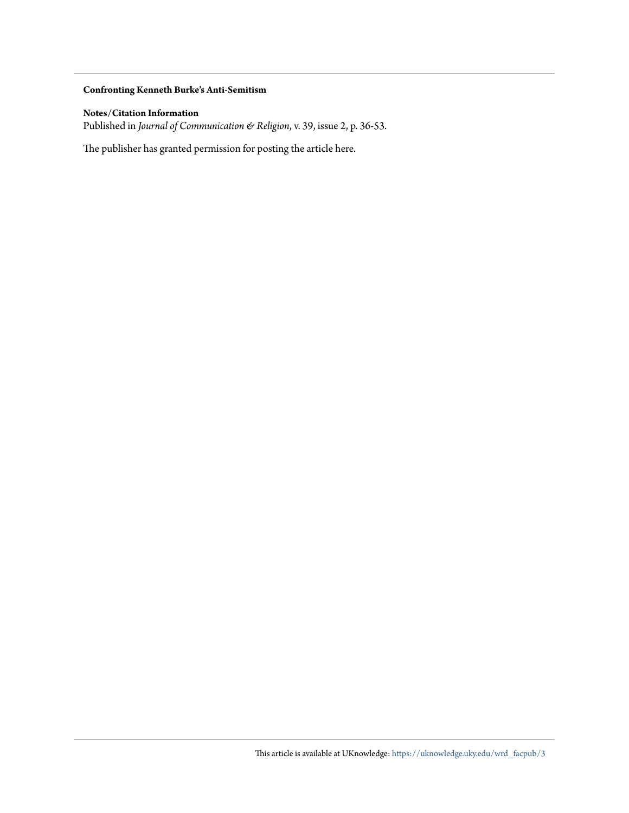### **Confronting Kenneth Burke's Anti-Semitism**

## **Notes/Citation Information**

Published in *Journal of Communication & Religion*, v. 39, issue 2, p. 36-53.

The publisher has granted permission for posting the article here.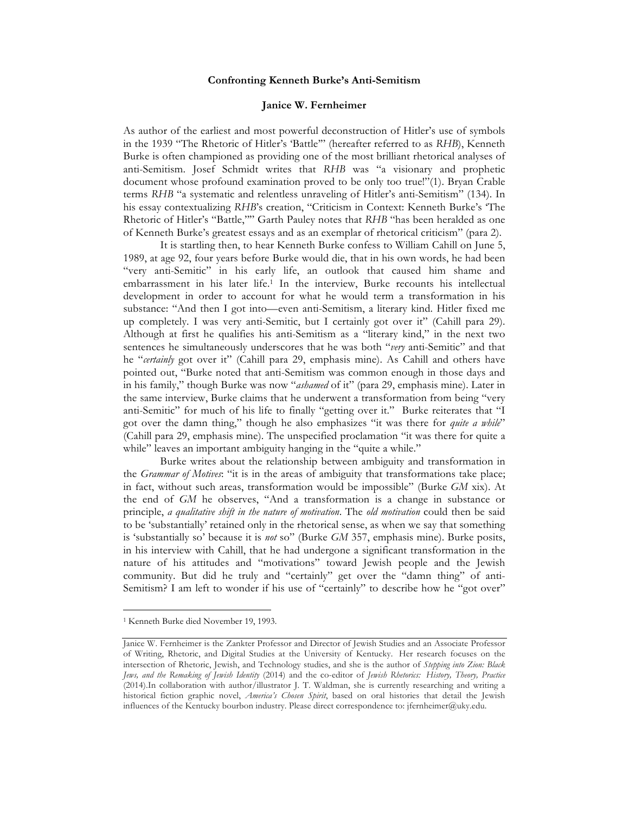#### **Confronting Kenneth Burke's Anti-Semitism**

#### **Janice W. Fernheimer**

As author of the earliest and most powerful deconstruction of Hitler's use of symbols in the 1939 "The Rhetoric of Hitler's 'Battle'" (hereafter referred to as *RHB*), Kenneth Burke is often championed as providing one of the most brilliant rhetorical analyses of anti-Semitism. Josef Schmidt writes that *RHB* was "a visionary and prophetic document whose profound examination proved to be only too true!"(1). Bryan Crable terms *RHB* "a systematic and relentless unraveling of Hitler's anti-Semitism" (134). In his essay contextualizing *RHB*'s creation, "Criticism in Context: Kenneth Burke's 'The Rhetoric of Hitler's "Battle,"" Garth Pauley notes that RHB "has been heralded as one of Kenneth Burke's greatest essays and as an exemplar of rhetorical criticism" (para 2).

It is startling then, to hear Kenneth Burke confess to William Cahill on June 5, 1989, at age 92, four years before Burke would die, that in his own words, he had been "very anti-Semitic" in his early life, an outlook that caused him shame and embarrassment in his later life.1 In the interview, Burke recounts his intellectual development in order to account for what he would term a transformation in his substance: "And then I got into—even anti-Semitism, a literary kind. Hitler fixed me up completely. I was very anti-Semitic, but I certainly got over it" (Cahill para 29). Although at first he qualifies his anti-Semitism as a "literary kind," in the next two sentences he simultaneously underscores that he was both "*very* anti-Semitic" and that he "*certainly* got over it" (Cahill para 29, emphasis mine). As Cahill and others have pointed out, "Burke noted that anti-Semitism was common enough in those days and in his family," though Burke was now "*ashamed* of it" (para 29, emphasis mine). Later in the same interview, Burke claims that he underwent a transformation from being "very anti-Semitic" for much of his life to finally "getting over it." Burke reiterates that "I got over the damn thing," though he also emphasizes "it was there for *quite a while*" (Cahill para 29, emphasis mine). The unspecified proclamation "it was there for quite a while" leaves an important ambiguity hanging in the "quite a while."

Burke writes about the relationship between ambiguity and transformation in the *Grammar of Motives*: "it is in the areas of ambiguity that transformations take place; in fact, without such areas, transformation would be impossible" (Burke *GM* xix). At the end of *GM* he observes, "And a transformation is a change in substance or principle, *a qualitative shift in the nature of motivation*. The *old motivation* could then be said to be 'substantially' retained only in the rhetorical sense, as when we say that something is 'substantially so' because it is *not* so" (Burke *GM* 357, emphasis mine). Burke posits, in his interview with Cahill, that he had undergone a significant transformation in the nature of his attitudes and "motivations" toward Jewish people and the Jewish community. But did he truly and "certainly" get over the "damn thing" of anti-Semitism? I am left to wonder if his use of "certainly" to describe how he "got over"

 <sup>1</sup> Kenneth Burke died November 19, 1993.

Janice W. Fernheimer is the Zankter Professor and Director of Jewish Studies and an Associate Professor of Writing, Rhetoric, and Digital Studies at the University of Kentucky. Her research focuses on the intersection of Rhetoric, Jewish, and Technology studies, and she is the author of *Stepping into Zion: Black Jews, and the Remaking of Jewish Identity* (2014) and the co-editor of *Jewish Rhetorics: History, Theory, Practice* (2014).In collaboration with author/illustrator J. T. Waldman, she is currently researching and writing a historical fiction graphic novel, *America's Chosen Spirit*, based on oral histories that detail the Jewish influences of the Kentucky bourbon industry. Please direct correspondence to: jfernheimer@uky.edu.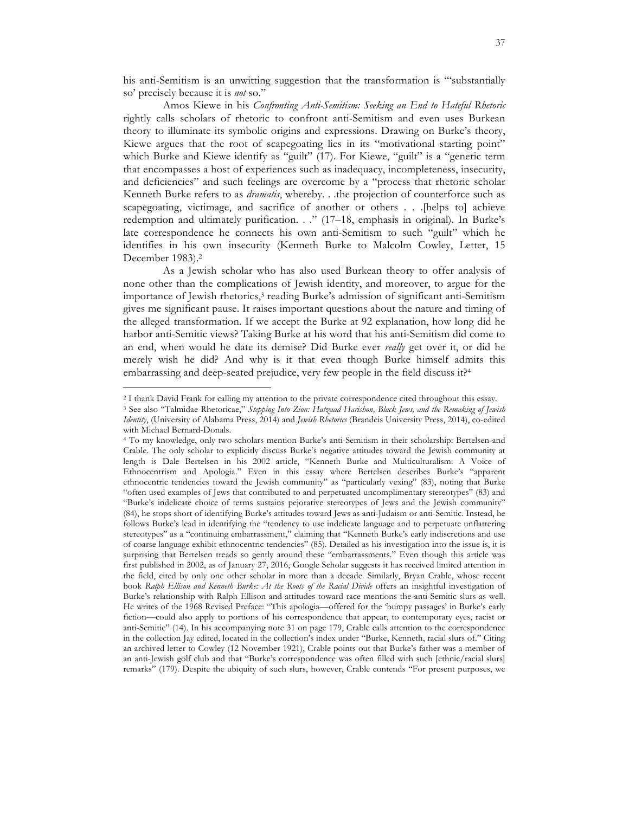his anti-Semitism is an unwitting suggestion that the transformation is "'substantially so' precisely because it is *not* so."

Amos Kiewe in his *Confronting Anti-Semitism: Seeking an End to Hateful Rhetoric* rightly calls scholars of rhetoric to confront anti-Semitism and even uses Burkean theory to illuminate its symbolic origins and expressions. Drawing on Burke's theory, Kiewe argues that the root of scapegoating lies in its "motivational starting point" which Burke and Kiewe identify as "guilt" (17). For Kiewe, "guilt" is a "generic term that encompasses a host of experiences such as inadequacy, incompleteness, insecurity, and deficiencies" and such feelings are overcome by a "process that rhetoric scholar Kenneth Burke refers to as *dramatis*, whereby. . .the projection of counterforce such as scapegoating, victimage, and sacrifice of another or others . . .[helps to] achieve redemption and ultimately purification. . ." (17–18, emphasis in original). In Burke's late correspondence he connects his own anti-Semitism to such "guilt" which he identifies in his own insecurity (Kenneth Burke to Malcolm Cowley, Letter, 15 December 1983).2

As a Jewish scholar who has also used Burkean theory to offer analysis of none other than the complications of Jewish identity, and moreover, to argue for the importance of Jewish rhetorics,<sup>3</sup> reading Burke's admission of significant anti-Semitism gives me significant pause. It raises important questions about the nature and timing of the alleged transformation. If we accept the Burke at 92 explanation, how long did he harbor anti-Semitic views? Taking Burke at his word that his anti-Semitism did come to an end, when would he date its demise? Did Burke ever *really* get over it, or did he merely wish he did? And why is it that even though Burke himself admits this embarrassing and deep-seated prejudice, very few people in the field discuss it?4

<sup>2</sup> I thank David Frank for calling my attention to the private correspondence cited throughout this essay.

<sup>3</sup> See also "Talmidae Rhetoricae," *Stepping Into Zion: Hatzaad Harishon, Black Jews, and the Remaking of Jewish Identity*, (University of Alabama Press, 2014) and *Jewish Rhetorics* (Brandeis University Press, 2014), co-edited with Michael Bernard-Donals.

<sup>4</sup> To my knowledge, only two scholars mention Burke's anti-Semitism in their scholarship: Bertelsen and Crable. The only scholar to explicitly discuss Burke's negative attitudes toward the Jewish community at length is Dale Bertelsen in his 2002 article, "Kenneth Burke and Multiculturalism: A Voice of Ethnocentrism and Apologia." Even in this essay where Bertelsen describes Burke's "apparent ethnocentric tendencies toward the Jewish community" as "particularly vexing" (83), noting that Burke "often used examples of Jews that contributed to and perpetuated uncomplimentary stereotypes" (83) and "Burke's indelicate choice of terms sustains pejorative stereotypes of Jews and the Jewish community" (84), he stops short of identifying Burke's attitudes toward Jews as anti-Judaism or anti-Semitic. Instead, he follows Burke's lead in identifying the "tendency to use indelicate language and to perpetuate unflattering stereotypes" as a "continuing embarrassment," claiming that "Kenneth Burke's early indiscretions and use of coarse language exhibit ethnocentric tendencies" (85). Detailed as his investigation into the issue is, it is surprising that Bertelsen treads so gently around these "embarrassments." Even though this article was first published in 2002, as of January 27, 2016, Google Scholar suggests it has received limited attention in the field, cited by only one other scholar in more than a decade. Similarly, Bryan Crable, whose recent book *Ralph Ellison and Kenneth Burke: At the Roots of the Racial Divide* offers an insightful investigation of Burke's relationship with Ralph Ellison and attitudes toward race mentions the anti-Semitic slurs as well. He writes of the 1968 Revised Preface: "This apologia—offered for the 'bumpy passages' in Burke's early fiction—could also apply to portions of his correspondence that appear, to contemporary eyes, racist or anti-Semitic" (14). In his accompanying note 31 on page 179, Crable calls attention to the correspondence in the collection Jay edited, located in the collection's index under "Burke, Kenneth, racial slurs of." Citing an archived letter to Cowley (12 November 1921), Crable points out that Burke's father was a member of an anti-Jewish golf club and that "Burke's correspondence was often filled with such [ethnic/racial slurs] remarks" (179). Despite the ubiquity of such slurs, however, Crable contends "For present purposes, we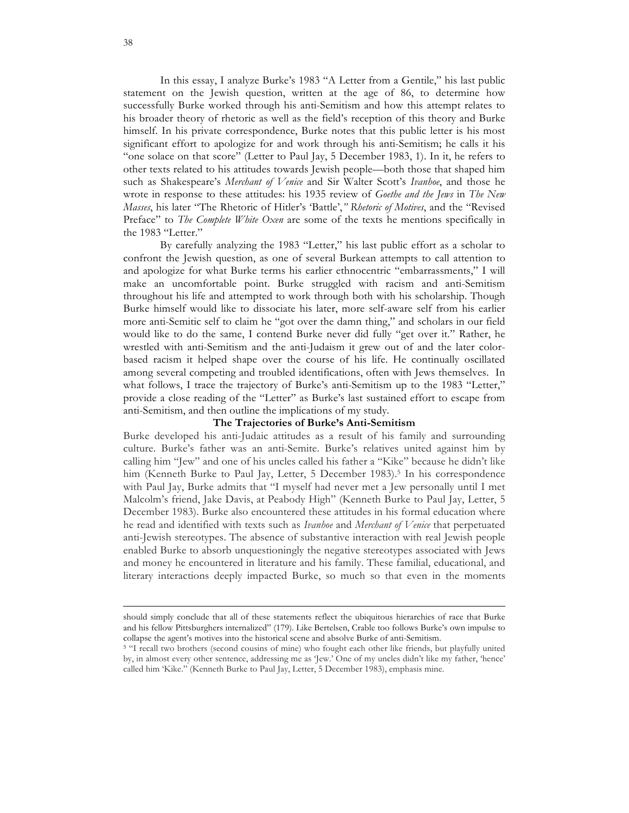In this essay, I analyze Burke's 1983 "A Letter from a Gentile," his last public statement on the Jewish question, written at the age of 86, to determine how successfully Burke worked through his anti-Semitism and how this attempt relates to his broader theory of rhetoric as well as the field's reception of this theory and Burke himself. In his private correspondence, Burke notes that this public letter is his most significant effort to apologize for and work through his anti-Semitism; he calls it his "one solace on that score" (Letter to Paul Jay, 5 December 1983, 1). In it, he refers to other texts related to his attitudes towards Jewish people—both those that shaped him such as Shakespeare's *Merchant of Venice* and Sir Walter Scott's *Ivanhoe*, and those he wrote in response to these attitudes: his 1935 review of *Goethe and the Jews* in *The New Masses*, his later "The Rhetoric of Hitler's 'Battle',*" Rhetoric of Motives*, and the "Revised Preface" to *The Complete White Oxen* are some of the texts he mentions specifically in the 1983 "Letter."

By carefully analyzing the 1983 "Letter," his last public effort as a scholar to confront the Jewish question, as one of several Burkean attempts to call attention to and apologize for what Burke terms his earlier ethnocentric "embarrassments," I will make an uncomfortable point. Burke struggled with racism and anti-Semitism throughout his life and attempted to work through both with his scholarship. Though Burke himself would like to dissociate his later, more self-aware self from his earlier more anti-Semitic self to claim he "got over the damn thing," and scholars in our field would like to do the same, I contend Burke never did fully "get over it." Rather, he wrestled with anti-Semitism and the anti-Judaism it grew out of and the later colorbased racism it helped shape over the course of his life. He continually oscillated among several competing and troubled identifications, often with Jews themselves. In what follows, I trace the trajectory of Burke's anti-Semitism up to the 1983 "Letter," provide a close reading of the "Letter" as Burke's last sustained effort to escape from anti-Semitism, and then outline the implications of my study.

#### **The Trajectories of Burke's Anti-Semitism**

Burke developed his anti-Judaic attitudes as a result of his family and surrounding culture. Burke's father was an anti-Semite. Burke's relatives united against him by calling him "Jew" and one of his uncles called his father a "Kike" because he didn't like him (Kenneth Burke to Paul Jay, Letter, 5 December 1983).<sup>5</sup> In his correspondence with Paul Jay, Burke admits that "I myself had never met a Jew personally until I met Malcolm's friend, Jake Davis, at Peabody High" (Kenneth Burke to Paul Jay, Letter, 5 December 1983). Burke also encountered these attitudes in his formal education where he read and identified with texts such as *Ivanhoe* and *Merchant of Venice* that perpetuated anti-Jewish stereotypes. The absence of substantive interaction with real Jewish people enabled Burke to absorb unquestioningly the negative stereotypes associated with Jews and money he encountered in literature and his family. These familial, educational, and literary interactions deeply impacted Burke, so much so that even in the moments

<u> 1989 - Andrea Santa Alemania, poeta esperanto-poeta esperanto-poeta esperanto-poeta esperanto-poeta esperanto-</u>

should simply conclude that all of these statements reflect the ubiquitous hierarchies of race that Burke and his fellow Pittsburghers internalized" (179). Like Bertelsen, Crable too follows Burke's own impulse to collapse the agent's motives into the historical scene and absolve Burke of anti-Semitism.

<sup>&</sup>lt;sup>5</sup> "I recall two brothers (second cousins of mine) who fought each other like friends, but playfully united by, in almost every other sentence, addressing me as 'Jew.' One of my uncles didn't like my father, 'hence' called him 'Kike." (Kenneth Burke to Paul Jay, Letter, 5 December 1983), emphasis mine.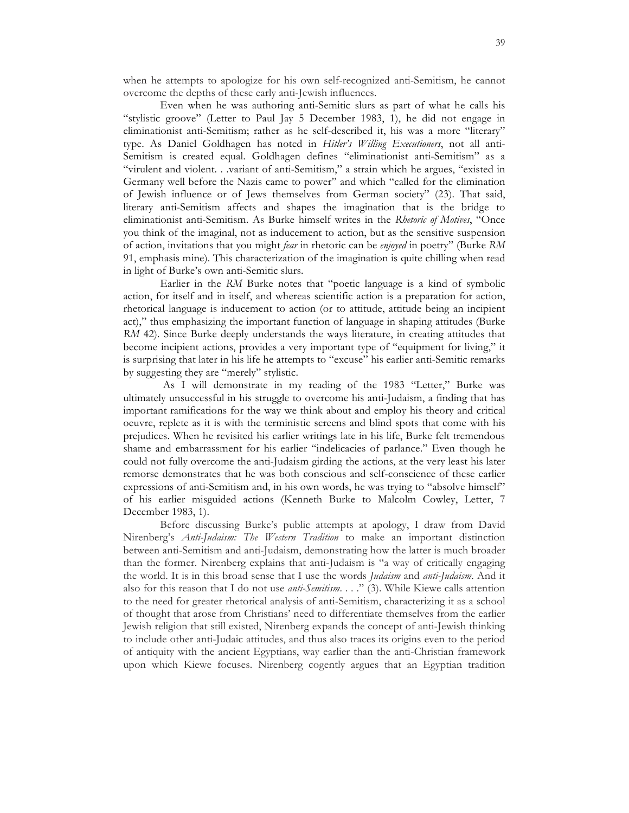when he attempts to apologize for his own self-recognized anti-Semitism, he cannot overcome the depths of these early anti-Jewish influences.

Even when he was authoring anti-Semitic slurs as part of what he calls his "stylistic groove" (Letter to Paul Jay 5 December 1983, 1), he did not engage in eliminationist anti-Semitism; rather as he self-described it, his was a more "literary" type. As Daniel Goldhagen has noted in *Hitler's Willing Executioners*, not all anti-Semitism is created equal. Goldhagen defines "eliminationist anti-Semitism" as a "virulent and violent. . .variant of anti-Semitism," a strain which he argues, "existed in Germany well before the Nazis came to power" and which "called for the elimination of Jewish influence or of Jews themselves from German society" (23). That said, literary anti-Semitism affects and shapes the imagination that is the bridge to eliminationist anti-Semitism. As Burke himself writes in the *Rhetoric of Motives*, "Once you think of the imaginal, not as inducement to action, but as the sensitive suspension of action, invitations that you might *fear* in rhetoric can be *enjoyed* in poetry" (Burke *RM* 91, emphasis mine). This characterization of the imagination is quite chilling when read in light of Burke's own anti-Semitic slurs.

Earlier in the *RM* Burke notes that "poetic language is a kind of symbolic action, for itself and in itself, and whereas scientific action is a preparation for action, rhetorical language is inducement to action (or to attitude, attitude being an incipient act)," thus emphasizing the important function of language in shaping attitudes (Burke *RM* 42). Since Burke deeply understands the ways literature, in creating attitudes that become incipient actions, provides a very important type of "equipment for living," it is surprising that later in his life he attempts to "excuse" his earlier anti-Semitic remarks by suggesting they are "merely" stylistic.

As I will demonstrate in my reading of the 1983 "Letter," Burke was ultimately unsuccessful in his struggle to overcome his anti-Judaism, a finding that has important ramifications for the way we think about and employ his theory and critical oeuvre, replete as it is with the terministic screens and blind spots that come with his prejudices. When he revisited his earlier writings late in his life, Burke felt tremendous shame and embarrassment for his earlier "indelicacies of parlance." Even though he could not fully overcome the anti-Judaism girding the actions, at the very least his later remorse demonstrates that he was both conscious and self-conscience of these earlier expressions of anti-Semitism and, in his own words, he was trying to "absolve himself" of his earlier misguided actions (Kenneth Burke to Malcolm Cowley, Letter, 7 December 1983, 1).

Before discussing Burke's public attempts at apology, I draw from David Nirenberg's *Anti-Judaism: The Western Tradition* to make an important distinction between anti-Semitism and anti-Judaism, demonstrating how the latter is much broader than the former. Nirenberg explains that anti-Judaism is "a way of critically engaging the world. It is in this broad sense that I use the words *Judaism* and *anti-Judaism*. And it also for this reason that I do not use *anti-Semitism*. . . ." (3). While Kiewe calls attention to the need for greater rhetorical analysis of anti-Semitism, characterizing it as a school of thought that arose from Christians' need to differentiate themselves from the earlier Jewish religion that still existed, Nirenberg expands the concept of anti-Jewish thinking to include other anti-Judaic attitudes, and thus also traces its origins even to the period of antiquity with the ancient Egyptians, way earlier than the anti-Christian framework upon which Kiewe focuses. Nirenberg cogently argues that an Egyptian tradition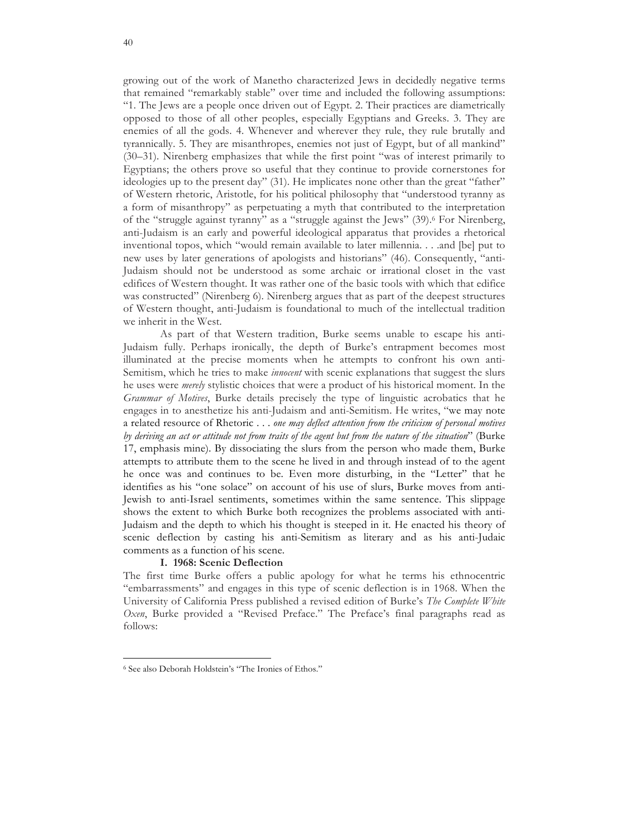growing out of the work of Manetho characterized Jews in decidedly negative terms that remained "remarkably stable" over time and included the following assumptions: "1. The Jews are a people once driven out of Egypt. 2. Their practices are diametrically opposed to those of all other peoples, especially Egyptians and Greeks. 3. They are enemies of all the gods. 4. Whenever and wherever they rule, they rule brutally and tyrannically. 5. They are misanthropes, enemies not just of Egypt, but of all mankind" (30–31). Nirenberg emphasizes that while the first point "was of interest primarily to Egyptians; the others prove so useful that they continue to provide cornerstones for ideologies up to the present day" (31). He implicates none other than the great "father" of Western rhetoric, Aristotle, for his political philosophy that "understood tyranny as a form of misanthropy" as perpetuating a myth that contributed to the interpretation of the "struggle against tyranny" as a "struggle against the Jews" (39).6 For Nirenberg, anti-Judaism is an early and powerful ideological apparatus that provides a rhetorical inventional topos, which "would remain available to later millennia. . . .and [be] put to new uses by later generations of apologists and historians" (46). Consequently, "anti-Judaism should not be understood as some archaic or irrational closet in the vast edifices of Western thought. It was rather one of the basic tools with which that edifice was constructed" (Nirenberg 6). Nirenberg argues that as part of the deepest structures of Western thought, anti-Judaism is foundational to much of the intellectual tradition we inherit in the West.

As part of that Western tradition, Burke seems unable to escape his anti-Judaism fully. Perhaps ironically, the depth of Burke's entrapment becomes most illuminated at the precise moments when he attempts to confront his own anti-Semitism, which he tries to make *innocent* with scenic explanations that suggest the slurs he uses were *merely* stylistic choices that were a product of his historical moment. In the *Grammar of Motives*, Burke details precisely the type of linguistic acrobatics that he engages in to anesthetize his anti-Judaism and anti-Semitism. He writes, "we may note a related resource of Rhetoric . . . *one may deflect attention from the criticism of personal motives by deriving an act or attitude not from traits of the agent but from the nature of the situation*" (Burke 17, emphasis mine). By dissociating the slurs from the person who made them, Burke attempts to attribute them to the scene he lived in and through instead of to the agent he once was and continues to be. Even more disturbing, in the "Letter" that he identifies as his "one solace" on account of his use of slurs, Burke moves from anti-Jewish to anti-Israel sentiments, sometimes within the same sentence. This slippage shows the extent to which Burke both recognizes the problems associated with anti-Judaism and the depth to which his thought is steeped in it. He enacted his theory of scenic deflection by casting his anti-Semitism as literary and as his anti-Judaic comments as a function of his scene.

#### **I. 1968: Scenic Deflection**

The first time Burke offers a public apology for what he terms his ethnocentric "embarrassments" and engages in this type of scenic deflection is in 1968. When the University of California Press published a revised edition of Burke's *The Complete White Oxen*, Burke provided a "Revised Preface." The Preface's final paragraphs read as follows:

<sup>6</sup> See also Deborah Holdstein's "The Ironies of Ethos."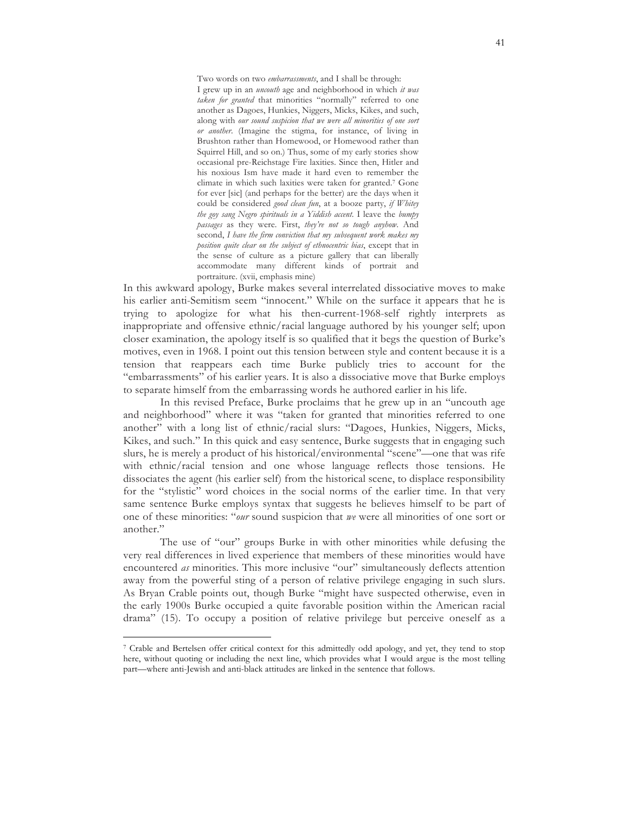Two words on two *embarrassments*, and I shall be through: I grew up in an *uncouth* age and neighborhood in which *it was taken for granted* that minorities "normally" referred to one another as Dagoes, Hunkies, Niggers, Micks, Kikes, and such, along with *our sound suspicion that we were all minorities of one sort or another*. (Imagine the stigma, for instance, of living in Brushton rather than Homewood, or Homewood rather than Squirrel Hill, and so on.) Thus, some of my early stories show occasional pre-Reichstage Fire laxities. Since then, Hitler and his noxious Ism have made it hard even to remember the climate in which such laxities were taken for granted.7 Gone for ever [sic] (and perhaps for the better) are the days when it could be considered *good clean fun*, at a booze party, *if Whitey the goy sang Negro spirituals in a Yiddish accent*. I leave the *bumpy passages* as they were. First, *they're not so tough anyhow*. And second, *I have the firm conviction that my subsequent work makes my position quite clear on the subject of ethnocentric bias*, except that in the sense of culture as a picture gallery that can liberally accommodate many different kinds of portrait and portraiture. (xvii, emphasis mine)

In this awkward apology, Burke makes several interrelated dissociative moves to make his earlier anti-Semitism seem "innocent." While on the surface it appears that he is trying to apologize for what his then-current-1968-self rightly interprets as inappropriate and offensive ethnic/racial language authored by his younger self; upon closer examination, the apology itself is so qualified that it begs the question of Burke's motives, even in 1968. I point out this tension between style and content because it is a tension that reappears each time Burke publicly tries to account for the "embarrassments" of his earlier years. It is also a dissociative move that Burke employs to separate himself from the embarrassing words he authored earlier in his life.

In this revised Preface, Burke proclaims that he grew up in an "uncouth age and neighborhood" where it was "taken for granted that minorities referred to one another" with a long list of ethnic/racial slurs: "Dagoes, Hunkies, Niggers, Micks, Kikes, and such." In this quick and easy sentence, Burke suggests that in engaging such slurs, he is merely a product of his historical/environmental "scene"—one that was rife with ethnic/racial tension and one whose language reflects those tensions. He dissociates the agent (his earlier self) from the historical scene, to displace responsibility for the "stylistic" word choices in the social norms of the earlier time. In that very same sentence Burke employs syntax that suggests he believes himself to be part of one of these minorities: "*our* sound suspicion that *we* were all minorities of one sort or another."

The use of "our" groups Burke in with other minorities while defusing the very real differences in lived experience that members of these minorities would have encountered *as* minorities. This more inclusive "our" simultaneously deflects attention away from the powerful sting of a person of relative privilege engaging in such slurs. As Bryan Crable points out, though Burke "might have suspected otherwise, even in the early 1900s Burke occupied a quite favorable position within the American racial drama" (15). To occupy a position of relative privilege but perceive oneself as a

<sup>7</sup> Crable and Bertelsen offer critical context for this admittedly odd apology, and yet, they tend to stop here, without quoting or including the next line, which provides what I would argue is the most telling part—where anti-Jewish and anti-black attitudes are linked in the sentence that follows.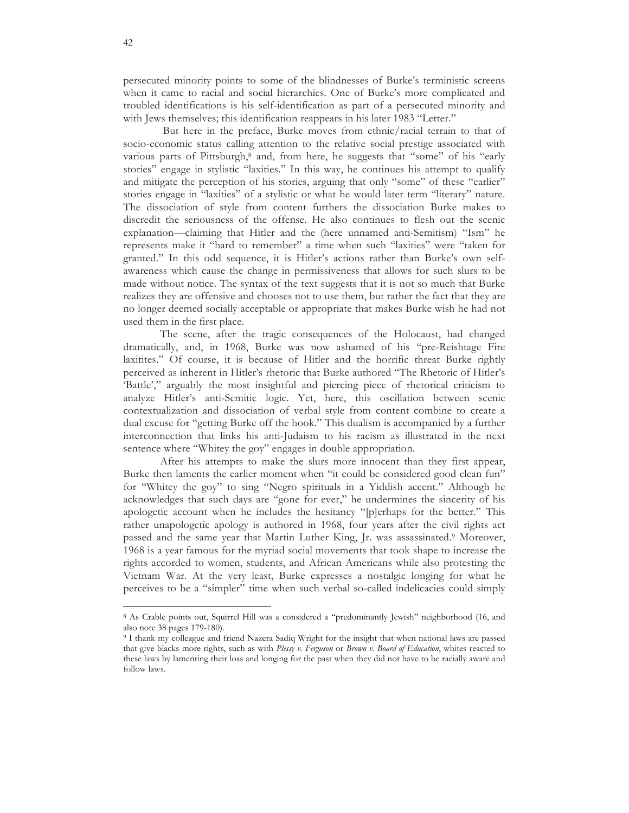persecuted minority points to some of the blindnesses of Burke's terministic screens when it came to racial and social hierarchies. One of Burke's more complicated and troubled identifications is his self-identification as part of a persecuted minority and with Jews themselves; this identification reappears in his later 1983 "Letter."

But here in the preface, Burke moves from ethnic/racial terrain to that of socio-economic status calling attention to the relative social prestige associated with various parts of Pittsburgh,<sup>8</sup> and, from here, he suggests that "some" of his "early stories" engage in stylistic "laxities." In this way, he continues his attempt to qualify and mitigate the perception of his stories, arguing that only "some" of these "earlier" stories engage in "laxities" of a stylistic or what he would later term "literary" nature. The dissociation of style from content furthers the dissociation Burke makes to discredit the seriousness of the offense. He also continues to flesh out the scenic explanation—claiming that Hitler and the (here unnamed anti-Semitism) "Ism" he represents make it "hard to remember" a time when such "laxities" were "taken for granted." In this odd sequence, it is Hitler's actions rather than Burke's own selfawareness which cause the change in permissiveness that allows for such slurs to be made without notice. The syntax of the text suggests that it is not so much that Burke realizes they are offensive and chooses not to use them, but rather the fact that they are no longer deemed socially acceptable or appropriate that makes Burke wish he had not used them in the first place.

The scene, after the tragic consequences of the Holocaust, had changed dramatically, and, in 1968, Burke was now ashamed of his "pre-Reishtage Fire laxitites." Of course, it is because of Hitler and the horrific threat Burke rightly perceived as inherent in Hitler's rhetoric that Burke authored "The Rhetoric of Hitler's 'Battle'," arguably the most insightful and piercing piece of rhetorical criticism to analyze Hitler's anti-Semitic logic. Yet, here, this oscillation between scenic contextualization and dissociation of verbal style from content combine to create a dual excuse for "getting Burke off the hook." This dualism is accompanied by a further interconnection that links his anti-Judaism to his racism as illustrated in the next sentence where "Whitey the goy" engages in double appropriation.

After his attempts to make the slurs more innocent than they first appear, Burke then laments the earlier moment when "it could be considered good clean fun" for "Whitey the goy" to sing "Negro spirituals in a Yiddish accent." Although he acknowledges that such days are "gone for ever," he undermines the sincerity of his apologetic account when he includes the hesitancy "[p]erhaps for the better." This rather unapologetic apology is authored in 1968, four years after the civil rights act passed and the same year that Martin Luther King, Jr. was assassinated.9 Moreover, 1968 is a year famous for the myriad social movements that took shape to increase the rights accorded to women, students, and African Americans while also protesting the Vietnam War. At the very least, Burke expresses a nostalgic longing for what he perceives to be a "simpler" time when such verbal so-called indelicacies could simply

<sup>8</sup> As Crable points out, Squirrel Hill was a considered a "predominantly Jewish" neighborhood (16, and also note 38 pages 179-180).

<sup>9</sup> I thank my colleague and friend Nazera Sadiq Wright for the insight that when national laws are passed that give blacks more rights, such as with *Plessy v. Ferguson* or *Brown v. Board of Education*, whites reacted to these laws by lamenting their loss and longing for the past when they did not have to be racially aware and follow laws.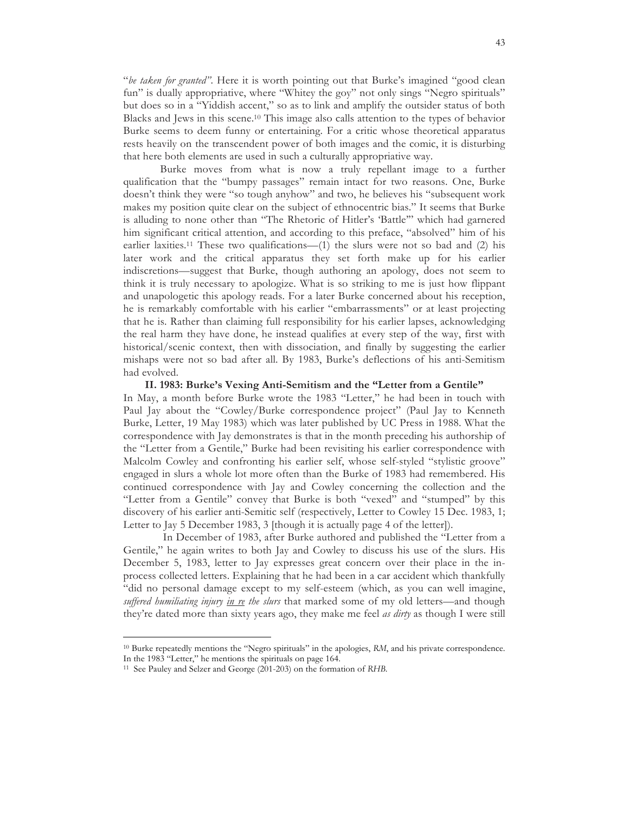"*be taken for granted"*. Here it is worth pointing out that Burke's imagined "good clean fun" is dually appropriative, where "Whitey the goy" not only sings "Negro spirituals" but does so in a "Yiddish accent," so as to link and amplify the outsider status of both Blacks and Jews in this scene.10 This image also calls attention to the types of behavior Burke seems to deem funny or entertaining. For a critic whose theoretical apparatus rests heavily on the transcendent power of both images and the comic, it is disturbing that here both elements are used in such a culturally appropriative way.

Burke moves from what is now a truly repellant image to a further qualification that the "bumpy passages" remain intact for two reasons. One, Burke doesn't think they were "so tough anyhow" and two, he believes his "subsequent work makes my position quite clear on the subject of ethnocentric bias." It seems that Burke is alluding to none other than "The Rhetoric of Hitler's 'Battle'" which had garnered him significant critical attention, and according to this preface, "absolved" him of his earlier laxities.<sup>11</sup> These two qualifications— $(1)$  the slurs were not so bad and  $(2)$  his later work and the critical apparatus they set forth make up for his earlier indiscretions—suggest that Burke, though authoring an apology, does not seem to think it is truly necessary to apologize. What is so striking to me is just how flippant and unapologetic this apology reads. For a later Burke concerned about his reception, he is remarkably comfortable with his earlier "embarrassments" or at least projecting that he is. Rather than claiming full responsibility for his earlier lapses, acknowledging the real harm they have done, he instead qualifies at every step of the way, first with historical/scenic context, then with dissociation, and finally by suggesting the earlier mishaps were not so bad after all. By 1983, Burke's deflections of his anti-Semitism had evolved.

**II. 1983: Burke's Vexing Anti-Semitism and the "Letter from a Gentile"** In May, a month before Burke wrote the 1983 "Letter," he had been in touch with Paul Jay about the "Cowley/Burke correspondence project" (Paul Jay to Kenneth Burke, Letter, 19 May 1983) which was later published by UC Press in 1988. What the correspondence with Jay demonstrates is that in the month preceding his authorship of the "Letter from a Gentile," Burke had been revisiting his earlier correspondence with Malcolm Cowley and confronting his earlier self, whose self-styled "stylistic groove" engaged in slurs a whole lot more often than the Burke of 1983 had remembered. His continued correspondence with Jay and Cowley concerning the collection and the "Letter from a Gentile" convey that Burke is both "vexed" and "stumped" by this discovery of his earlier anti-Semitic self (respectively, Letter to Cowley 15 Dec. 1983, 1; Letter to Jay 5 December 1983, 3 [though it is actually page 4 of the letter]).

In December of 1983, after Burke authored and published the "Letter from a Gentile," he again writes to both Jay and Cowley to discuss his use of the slurs. His December 5, 1983, letter to Jay expresses great concern over their place in the inprocess collected letters. Explaining that he had been in a car accident which thankfully "did no personal damage except to my self-esteem (which, as you can well imagine, *suffered humiliating injury in re the slurs* that marked some of my old letters—and though they're dated more than sixty years ago, they make me feel *as dirty* as though I were still

<sup>10</sup> Burke repeatedly mentions the "Negro spirituals" in the apologies, *RM*, and his private correspondence.

In the 1983 "Letter," he mentions the spirituals on page 164.

<sup>11</sup> See Pauley and Selzer and George (201-203) on the formation of *RHB*.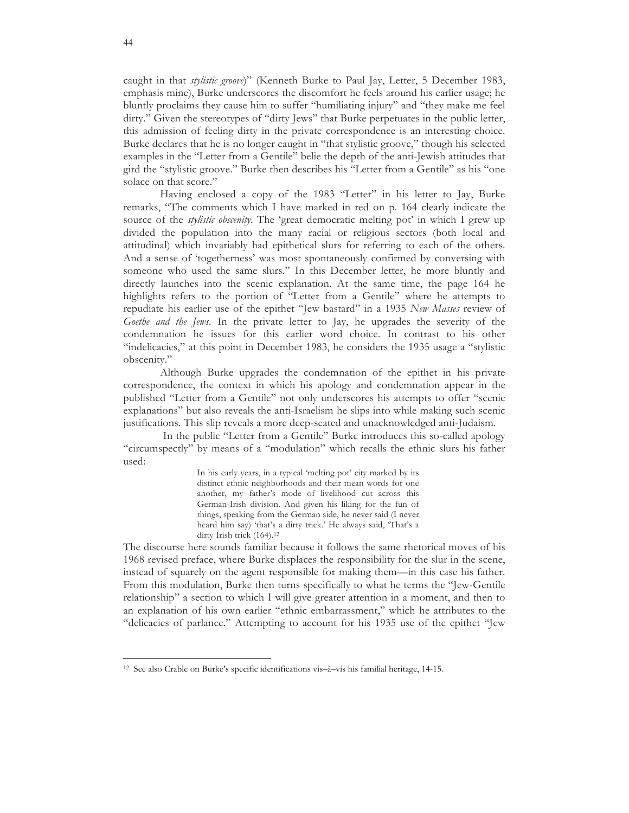caught in that *stylistic groove*)" (Kenneth Burke to Paul Jay, Letter, 5 December 1983, emphasis mine), Burke underscores the discomfort he feels around his earlier usage; he bluntly proclaims they cause him to suffer "humiliating injury" and "they make me feel dirty." Given the stereotypes of "dirty Jews" that Burke perpetuates in the public letter, this admission of feeling dirty in the private correspondence is an interesting choice. Burke declares that he is no longer caught in "that stylistic groove," though his selected examples in the "Letter from a Gentile" belie the depth of the anti-Jewish attitudes that gird the "stylistic groove." Burke then describes his "Letter from a Gentile" as his "one solace on that score."

Having enclosed a copy of the 1983 "Letter" in his letter to Jay, Burke remarks, "The comments which I have marked in red on p. 164 clearly indicate the source of the *stylistic obscenity*. The 'great democratic melting pot' in which I grew up divided the population into the many racial or religious sectors (both local and attitudinal) which invariably had epithetical slurs for referring to each of the others. And a sense of 'togetherness' was most spontaneously confirmed by conversing with someone who used the same slurs." In this December letter, he more bluntly and directly launches into the scenic explanation. At the same time, the page 164 he highlights refers to the portion of "Letter from a Gentile" where he attempts to repudiate his earlier use of the epithet "Jew bastard" in a 1935 *New Masses* review of *Goethe and the Jews*. In the private letter to Jay, he upgrades the severity of the condemnation he issues for this earlier word choice. In contrast to his other "indelicacies," at this point in December 1983, he considers the 1935 usage a "stylistic obscenity."

Although Burke upgrades the condemnation of the epithet in his private correspondence, the context in which his apology and condemnation appear in the published "Letter from a Gentile" not only underscores his attempts to offer "scenic explanations" but also reveals the anti-Israelism he slips into while making such scenic justifications. This slip reveals a more deep-seated and unacknowledged anti-Judaism.

In the public "Letter from a Gentile" Burke introduces this so-called apology "circumspectly" by means of a "modulation" which recalls the ethnic slurs his father used:

> In his early years, in a typical 'melting pot' city marked by its distinct ethnic neighborhoods and their mean words for one another, my father's mode of livelihood cut across this German-Irish division. And given his liking for the fun of things, speaking from the German side, he never said (I never heard him say) 'that's a dirty trick.' He always said, 'That's a dirty Irish trick (164).12

The discourse here sounds familiar because it follows the same rhetorical moves of his 1968 revised preface, where Burke displaces the responsibility for the slur in the scene, instead of squarely on the agent responsible for making them—in this case his father. From this modulation, Burke then turns specifically to what he terms the "Jew-Gentile relationship" a section to which I will give greater attention in a moment, and then to an explanation of his own earlier "ethnic embarrassment," which he attributes to the "delicacies of parlance." Attempting to account for his 1935 use of the epithet "Jew

<sup>12</sup> See also Crable on Burke's specific identifications vis–à–vis his familial heritage, 14-15.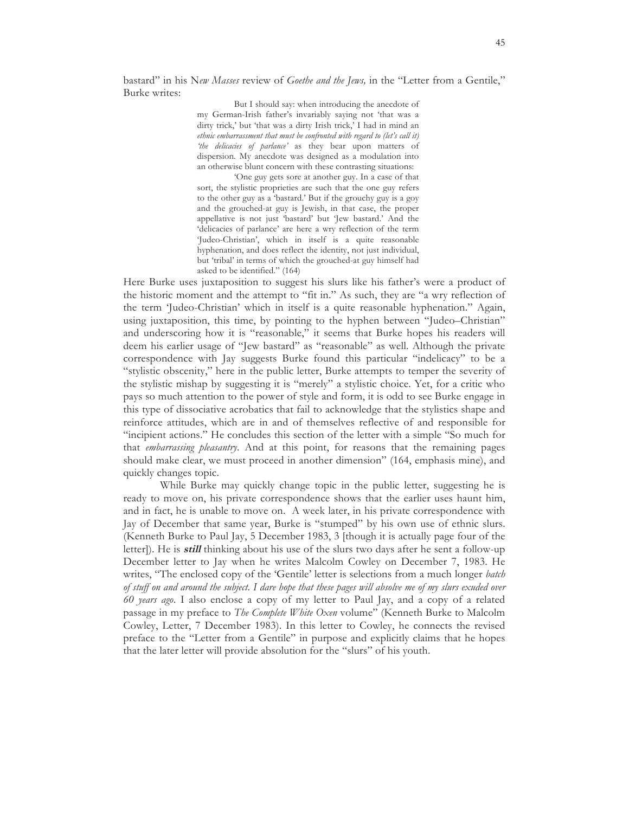bastard" in his N*ew Masses* review of *Goethe and the Jews,* in the "Letter from a Gentile," Burke writes:

> But I should say: when introducing the anecdote of my German-Irish father's invariably saying not 'that was a dirty trick,' but 'that was a dirty Irish trick,' I had in mind an *ethnic embarrassment that must be confronted with regard to (let's call it) 'the delicacies of parlance'* as they bear upon matters of dispersion. My anecdote was designed as a modulation into an otherwise blunt concern with these contrasting situations:

> 'One guy gets sore at another guy. In a case of that sort, the stylistic proprieties are such that the one guy refers to the other guy as a 'bastard.' But if the grouchy guy is a goy and the grouched-at guy is Jewish, in that case, the proper appellative is not just 'bastard' but 'Jew bastard.' And the 'delicacies of parlance' are here a wry reflection of the term 'Judeo-Christian', which in itself is a quite reasonable hyphenation, and does reflect the identity, not just individual, but 'tribal' in terms of which the grouched-at guy himself had asked to be identified." (164)

Here Burke uses juxtaposition to suggest his slurs like his father's were a product of the historic moment and the attempt to "fit in." As such, they are "a wry reflection of the term 'Judeo-Christian' which in itself is a quite reasonable hyphenation." Again, using juxtaposition, this time, by pointing to the hyphen between "Judeo–Christian" and underscoring how it is "reasonable," it seems that Burke hopes his readers will deem his earlier usage of "Jew bastard" as "reasonable" as well. Although the private correspondence with Jay suggests Burke found this particular "indelicacy" to be a "stylistic obscenity," here in the public letter, Burke attempts to temper the severity of the stylistic mishap by suggesting it is "merely" a stylistic choice. Yet, for a critic who pays so much attention to the power of style and form, it is odd to see Burke engage in this type of dissociative acrobatics that fail to acknowledge that the stylistics shape and reinforce attitudes, which are in and of themselves reflective of and responsible for "incipient actions." He concludes this section of the letter with a simple "So much for that *embarrassing pleasantry*. And at this point, for reasons that the remaining pages should make clear, we must proceed in another dimension" (164, emphasis mine), and quickly changes topic.

While Burke may quickly change topic in the public letter, suggesting he is ready to move on, his private correspondence shows that the earlier uses haunt him, and in fact, he is unable to move on. A week later, in his private correspondence with Jay of December that same year, Burke is "stumped" by his own use of ethnic slurs. (Kenneth Burke to Paul Jay, 5 December 1983, 3 [though it is actually page four of the letter]). He is **still** thinking about his use of the slurs two days after he sent a follow-up December letter to Jay when he writes Malcolm Cowley on December 7, 1983. He writes, "The enclosed copy of the 'Gentile' letter is selections from a much longer *batch of stuff on and around the subject*. *I dare hope that these pages will absolve me of my slurs exuded over 60 years ago*. I also enclose a copy of my letter to Paul Jay, and a copy of a related passage in my preface to *The Complete White Oxen* volume" (Kenneth Burke to Malcolm Cowley, Letter, 7 December 1983). In this letter to Cowley, he connects the revised preface to the "Letter from a Gentile" in purpose and explicitly claims that he hopes that the later letter will provide absolution for the "slurs" of his youth.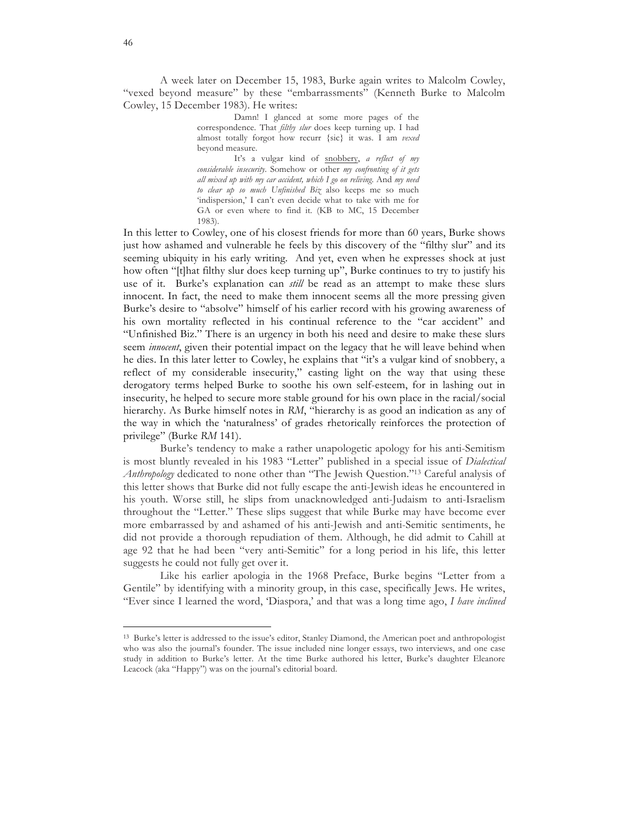A week later on December 15, 1983, Burke again writes to Malcolm Cowley, "vexed beyond measure" by these "embarrassments" (Kenneth Burke to Malcolm Cowley, 15 December 1983). He writes:

> Damn! I glanced at some more pages of the correspondence. That *filthy slur* does keep turning up. I had almost totally forgot how recurr {sic} it was. I am *vexed* beyond measure.

> It's a vulgar kind of snobbery, *a reflect of my considerable insecurity*. Somehow or other *my confronting of it gets all mixed up with my car accident, which I go on reliving*. And *my need to clear up so much Unfinished Biz* also keeps me so much 'indispersion,' I can't even decide what to take with me for GA or even where to find it. (KB to MC, 15 December 1983).

In this letter to Cowley, one of his closest friends for more than 60 years, Burke shows just how ashamed and vulnerable he feels by this discovery of the "filthy slur" and its seeming ubiquity in his early writing. And yet, even when he expresses shock at just how often "[t]hat filthy slur does keep turning up", Burke continues to try to justify his use of it. Burke's explanation can *still* be read as an attempt to make these slurs innocent. In fact, the need to make them innocent seems all the more pressing given Burke's desire to "absolve" himself of his earlier record with his growing awareness of his own mortality reflected in his continual reference to the "car accident" and "Unfinished Biz." There is an urgency in both his need and desire to make these slurs seem *innocent*, given their potential impact on the legacy that he will leave behind when he dies. In this later letter to Cowley, he explains that "it's a vulgar kind of snobbery, a reflect of my considerable insecurity," casting light on the way that using these derogatory terms helped Burke to soothe his own self-esteem, for in lashing out in insecurity, he helped to secure more stable ground for his own place in the racial/social hierarchy. As Burke himself notes in *RM*, "hierarchy is as good an indication as any of the way in which the 'naturalness' of grades rhetorically reinforces the protection of privilege" (Burke *RM* 141).

Burke's tendency to make a rather unapologetic apology for his anti-Semitism is most bluntly revealed in his 1983 "Letter" published in a special issue of *Dialectical Anthropology* dedicated to none other than "The Jewish Question."13 Careful analysis of this letter shows that Burke did not fully escape the anti-Jewish ideas he encountered in his youth. Worse still, he slips from unacknowledged anti-Judaism to anti-Israelism throughout the "Letter." These slips suggest that while Burke may have become ever more embarrassed by and ashamed of his anti-Jewish and anti-Semitic sentiments, he did not provide a thorough repudiation of them. Although, he did admit to Cahill at age 92 that he had been "very anti-Semitic" for a long period in his life, this letter suggests he could not fully get over it.

Like his earlier apologia in the 1968 Preface, Burke begins "Letter from a Gentile" by identifying with a minority group, in this case, specifically Jews. He writes, "Ever since I learned the word, 'Diaspora,' and that was a long time ago, *I have inclined* 

<sup>13</sup> Burke's letter is addressed to the issue's editor, Stanley Diamond, the American poet and anthropologist who was also the journal's founder. The issue included nine longer essays, two interviews, and one case study in addition to Burke's letter. At the time Burke authored his letter, Burke's daughter Eleanore Leacock (aka "Happy") was on the journal's editorial board.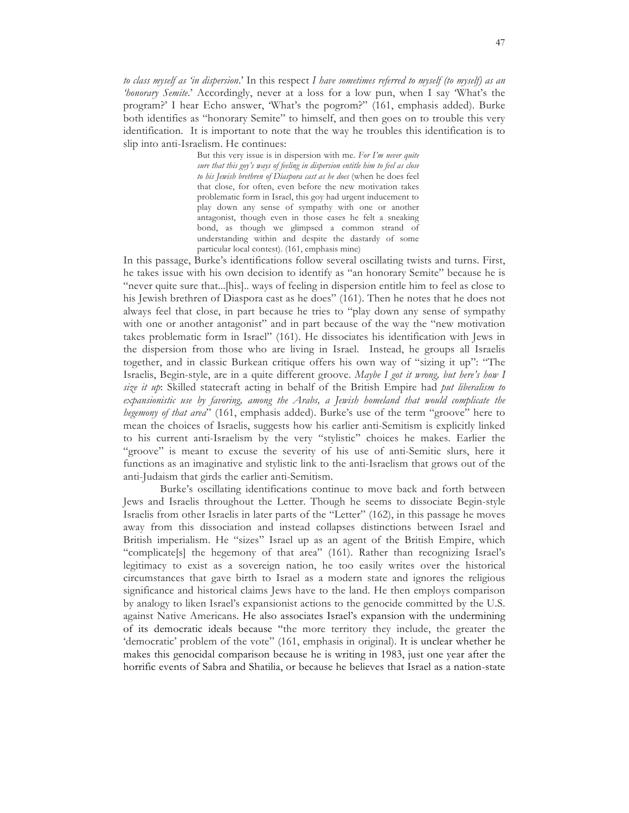*to class myself as 'in dispersion*.' In this respect *I have sometimes referred to myself (to myself) as an 'honorary Semite*.' Accordingly, never at a loss for a low pun, when I say 'What's the program?' I hear Echo answer, 'What's the pogrom?" (161, emphasis added). Burke both identifies as "honorary Semite" to himself, and then goes on to trouble this very identification. It is important to note that the way he troubles this identification is to slip into anti-Israelism. He continues:

> But this very issue is in dispersion with me. *For I'm never quite sure that this goy's ways of feeling in dispersion entitle him to feel as close to his Jewish brethren of Diaspora cast as he does* (when he does feel that close, for often, even before the new motivation takes problematic form in Israel, this goy had urgent inducement to play down any sense of sympathy with one or another antagonist, though even in those cases he felt a sneaking bond, as though we glimpsed a common strand of understanding within and despite the dastardy of some particular local contest). (161, emphasis mine)

In this passage, Burke's identifications follow several oscillating twists and turns. First, he takes issue with his own decision to identify as "an honorary Semite" because he is "never quite sure that...[his].. ways of feeling in dispersion entitle him to feel as close to his Jewish brethren of Diaspora cast as he does" (161). Then he notes that he does not always feel that close, in part because he tries to "play down any sense of sympathy with one or another antagonist" and in part because of the way the "new motivation takes problematic form in Israel" (161). He dissociates his identification with Jews in the dispersion from those who are living in Israel. Instead, he groups all Israelis together, and in classic Burkean critique offers his own way of "sizing it up": "The Israelis, Begin-style, are in a quite different groove. *Maybe I got it wrong, but here's how I size it up*: Skilled statecraft acting in behalf of the British Empire had *put liberalism to expansionistic use by favoring, among the Arabs, a Jewish homeland that would complicate the hegemony of that area*" (161, emphasis added). Burke's use of the term "groove" here to mean the choices of Israelis, suggests how his earlier anti-Semitism is explicitly linked to his current anti-Israelism by the very "stylistic" choices he makes. Earlier the "groove" is meant to excuse the severity of his use of anti-Semitic slurs, here it functions as an imaginative and stylistic link to the anti-Israelism that grows out of the anti-Judaism that girds the earlier anti-Semitism.

Burke's oscillating identifications continue to move back and forth between Jews and Israelis throughout the Letter. Though he seems to dissociate Begin-style Israelis from other Israelis in later parts of the "Letter" (162), in this passage he moves away from this dissociation and instead collapses distinctions between Israel and British imperialism. He "sizes" Israel up as an agent of the British Empire, which "complicate[s] the hegemony of that area" (161). Rather than recognizing Israel's legitimacy to exist as a sovereign nation, he too easily writes over the historical circumstances that gave birth to Israel as a modern state and ignores the religious significance and historical claims Jews have to the land. He then employs comparison by analogy to liken Israel's expansionist actions to the genocide committed by the U.S. against Native Americans. He also associates Israel's expansion with the undermining of its democratic ideals because "the more territory they include, the greater the 'democratic' problem of the vote" (161, emphasis in original). It is unclear whether he makes this genocidal comparison because he is writing in 1983, just one year after the horrific events of Sabra and Shatilia, or because he believes that Israel as a nation-state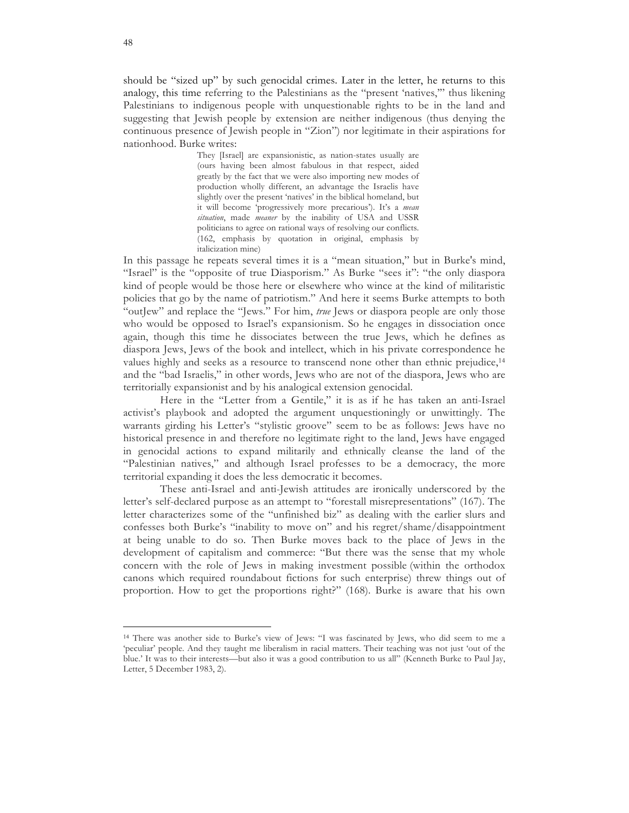should be "sized up" by such genocidal crimes. Later in the letter, he returns to this analogy, this time referring to the Palestinians as the "present 'natives,'" thus likening Palestinians to indigenous people with unquestionable rights to be in the land and suggesting that Jewish people by extension are neither indigenous (thus denying the continuous presence of Jewish people in "Zion") nor legitimate in their aspirations for nationhood. Burke writes:

> They [Israel] are expansionistic, as nation-states usually are (ours having been almost fabulous in that respect, aided greatly by the fact that we were also importing new modes of production wholly different, an advantage the Israelis have slightly over the present 'natives' in the biblical homeland, but it will become 'progressively more precarious'). It's a *mean situation*, made *meaner* by the inability of USA and USSR politicians to agree on rational ways of resolving our conflicts. (162, emphasis by quotation in original, emphasis by italicization mine)

In this passage he repeats several times it is a "mean situation," but in Burke's mind, "Israel" is the "opposite of true Diasporism." As Burke "sees it": "the only diaspora kind of people would be those here or elsewhere who wince at the kind of militaristic policies that go by the name of patriotism." And here it seems Burke attempts to both "outJew" and replace the "Jews." For him, *true* Jews or diaspora people are only those who would be opposed to Israel's expansionism. So he engages in dissociation once again, though this time he dissociates between the true Jews, which he defines as diaspora Jews, Jews of the book and intellect, which in his private correspondence he values highly and seeks as a resource to transcend none other than ethnic prejudice,14 and the "bad Israelis," in other words, Jews who are not of the diaspora, Jews who are territorially expansionist and by his analogical extension genocidal.

Here in the "Letter from a Gentile," it is as if he has taken an anti-Israel activist's playbook and adopted the argument unquestioningly or unwittingly. The warrants girding his Letter's "stylistic groove" seem to be as follows: Jews have no historical presence in and therefore no legitimate right to the land, Jews have engaged in genocidal actions to expand militarily and ethnically cleanse the land of the "Palestinian natives," and although Israel professes to be a democracy, the more territorial expanding it does the less democratic it becomes.

These anti-Israel and anti-Jewish attitudes are ironically underscored by the letter's self-declared purpose as an attempt to "forestall misrepresentations" (167). The letter characterizes some of the "unfinished biz" as dealing with the earlier slurs and confesses both Burke's "inability to move on" and his regret/shame/disappointment at being unable to do so. Then Burke moves back to the place of Jews in the development of capitalism and commerce: "But there was the sense that my whole concern with the role of Jews in making investment possible (within the orthodox canons which required roundabout fictions for such enterprise) threw things out of proportion. How to get the proportions right?" (168). Burke is aware that his own

<sup>14</sup> There was another side to Burke's view of Jews: "I was fascinated by Jews, who did seem to me a 'peculiar' people. And they taught me liberalism in racial matters. Their teaching was not just 'out of the blue.' It was to their interests—but also it was a good contribution to us all" (Kenneth Burke to Paul Jay, Letter, 5 December 1983, 2).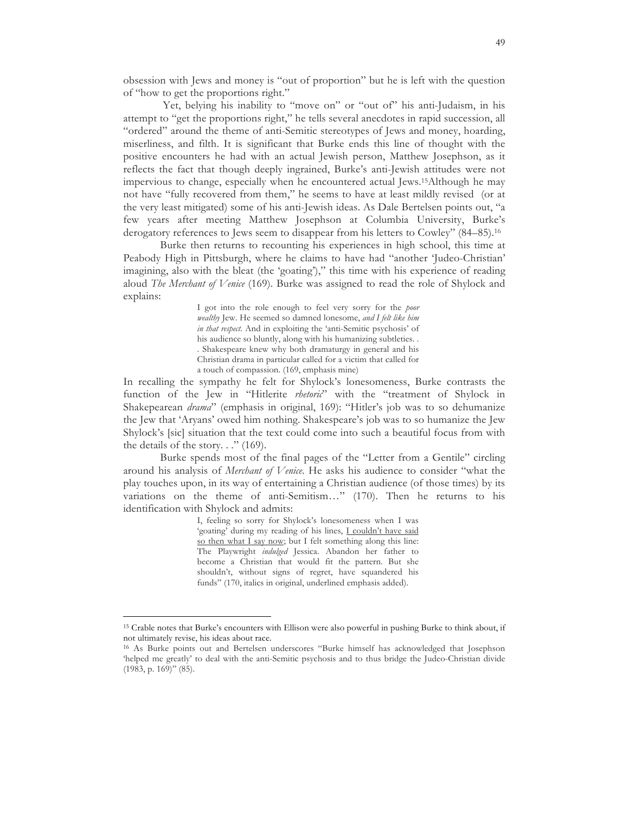obsession with Jews and money is "out of proportion" but he is left with the question of "how to get the proportions right."

Yet, belying his inability to "move on" or "out of" his anti-Judaism, in his attempt to "get the proportions right," he tells several anecdotes in rapid succession, all "ordered" around the theme of anti-Semitic stereotypes of Jews and money, hoarding, miserliness, and filth. It is significant that Burke ends this line of thought with the positive encounters he had with an actual Jewish person, Matthew Josephson, as it reflects the fact that though deeply ingrained, Burke's anti-Jewish attitudes were not impervious to change, especially when he encountered actual Jews.15Although he may not have "fully recovered from them," he seems to have at least mildly revised (or at the very least mitigated) some of his anti-Jewish ideas. As Dale Bertelsen points out, "a few years after meeting Matthew Josephson at Columbia University, Burke's derogatory references to Jews seem to disappear from his letters to Cowley" (84–85).16

Burke then returns to recounting his experiences in high school, this time at Peabody High in Pittsburgh, where he claims to have had "another 'Judeo-Christian' imagining, also with the bleat (the 'goating')," this time with his experience of reading aloud *The Merchant of Venice* (169). Burke was assigned to read the role of Shylock and explains:

> I got into the role enough to feel very sorry for the *poor wealthy* Jew. He seemed so damned lonesome, *and I felt like him in that respect*. And in exploiting the 'anti-Semitic psychosis' of his audience so bluntly, along with his humanizing subtleties. . . Shakespeare knew why both dramaturgy in general and his Christian drama in particular called for a victim that called for a touch of compassion. (169, emphasis mine)

In recalling the sympathy he felt for Shylock's lonesomeness, Burke contrasts the function of the Jew in "Hitlerite *rhetoric*" with the "treatment of Shylock in Shakepearean *drama*" (emphasis in original, 169): "Hitler's job was to so dehumanize the Jew that 'Aryans' owed him nothing. Shakespeare's job was to so humanize the Jew Shylock's [sic] situation that the text could come into such a beautiful focus from with the details of the story.  $\therefore$  (169).

Burke spends most of the final pages of the "Letter from a Gentile" circling around his analysis of *Merchant of Venice*. He asks his audience to consider "what the play touches upon, in its way of entertaining a Christian audience (of those times) by its variations on the theme of anti-Semitism…" (170). Then he returns to his identification with Shylock and admits:

> I, feeling so sorry for Shylock's lonesomeness when I was 'goating' during my reading of his lines, I couldn't have said so then what I say now; but I felt something along this line: The Playwright *indulged* Jessica. Abandon her father to become a Christian that would fit the pattern. But she shouldn't, without signs of regret, have squandered his funds" (170, italics in original, underlined emphasis added).

<sup>15</sup> Crable notes that Burke's encounters with Ellison were also powerful in pushing Burke to think about, if not ultimately revise, his ideas about race.

<sup>16</sup> As Burke points out and Bertelsen underscores "Burke himself has acknowledged that Josephson 'helped me greatly' to deal with the anti-Semitic psychosis and to thus bridge the Judeo-Christian divide (1983, p. 169)" (85).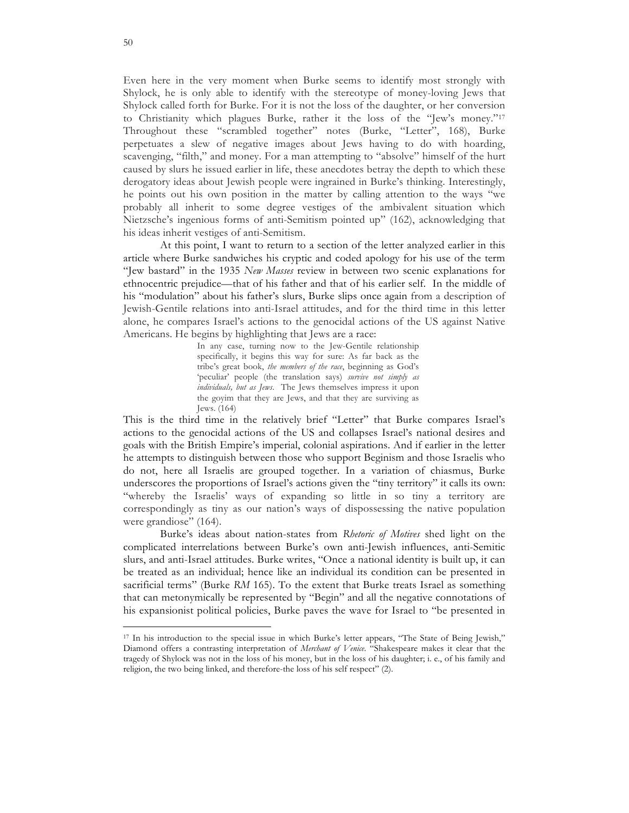Even here in the very moment when Burke seems to identify most strongly with Shylock, he is only able to identify with the stereotype of money-loving Jews that Shylock called forth for Burke. For it is not the loss of the daughter, or her conversion to Christianity which plagues Burke, rather it the loss of the "Jew's money."17 Throughout these "scrambled together" notes (Burke, "Letter", 168), Burke perpetuates a slew of negative images about Jews having to do with hoarding, scavenging, "filth," and money. For a man attempting to "absolve" himself of the hurt caused by slurs he issued earlier in life, these anecdotes betray the depth to which these derogatory ideas about Jewish people were ingrained in Burke's thinking. Interestingly, he points out his own position in the matter by calling attention to the ways "we probably all inherit to some degree vestiges of the ambivalent situation which Nietzsche's ingenious forms of anti-Semitism pointed up" (162), acknowledging that his ideas inherit vestiges of anti-Semitism.

At this point, I want to return to a section of the letter analyzed earlier in this article where Burke sandwiches his cryptic and coded apology for his use of the term "Jew bastard" in the 1935 *New Masses* review in between two scenic explanations for ethnocentric prejudice—that of his father and that of his earlier self. In the middle of his "modulation" about his father's slurs, Burke slips once again from a description of Jewish-Gentile relations into anti-Israel attitudes, and for the third time in this letter alone, he compares Israel's actions to the genocidal actions of the US against Native Americans. He begins by highlighting that Jews are a race:

> In any case, turning now to the Jew-Gentile relationship specifically, it begins this way for sure: As far back as the tribe's great book, *the members of the race*, beginning as God's 'peculiar' people (the translation says) *survive not simply as individuals, but as Jews*. The Jews themselves impress it upon the goyim that they are Jews, and that they are surviving as Jews. (164)

This is the third time in the relatively brief "Letter" that Burke compares Israel's actions to the genocidal actions of the US and collapses Israel's national desires and goals with the British Empire's imperial, colonial aspirations. And if earlier in the letter he attempts to distinguish between those who support Beginism and those Israelis who do not, here all Israelis are grouped together. In a variation of chiasmus, Burke underscores the proportions of Israel's actions given the "tiny territory" it calls its own: "whereby the Israelis' ways of expanding so little in so tiny a territory are correspondingly as tiny as our nation's ways of dispossessing the native population were grandiose" (164).

Burke's ideas about nation-states from *Rhetoric of Motives* shed light on the complicated interrelations between Burke's own anti-Jewish influences, anti-Semitic slurs, and anti-Israel attitudes. Burke writes, "Once a national identity is built up, it can be treated as an individual; hence like an individual its condition can be presented in sacrificial terms" (Burke *RM* 165). To the extent that Burke treats Israel as something that can metonymically be represented by "Begin" and all the negative connotations of his expansionist political policies, Burke paves the wave for Israel to "be presented in

<sup>17</sup> In his introduction to the special issue in which Burke's letter appears, "The State of Being Jewish," Diamond offers a contrasting interpretation of *Merchant of Venice*. "Shakespeare makes it clear that the tragedy of Shylock was not in the loss of his money, but in the loss of his daughter; i. e., of his family and religion, the two being linked, and therefore-the loss of his self respect" (2).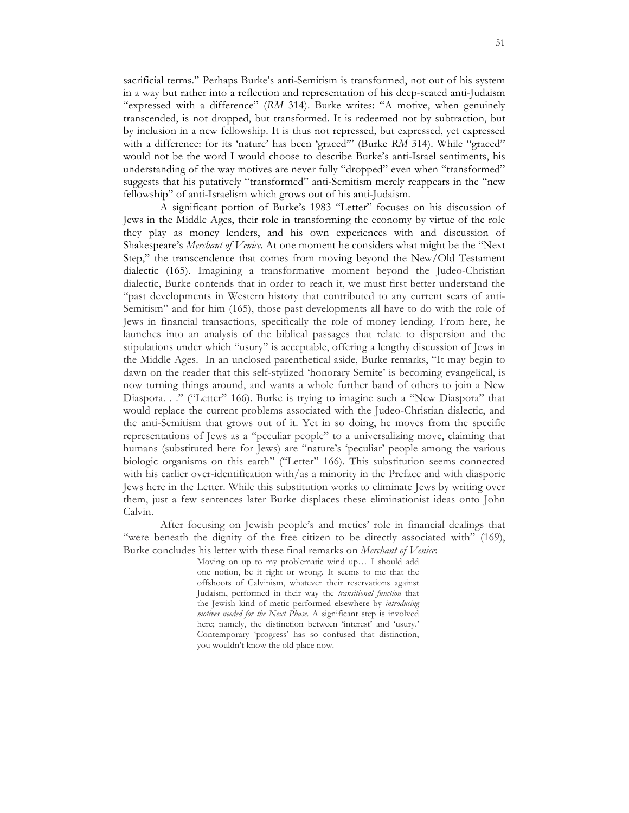sacrificial terms." Perhaps Burke's anti-Semitism is transformed, not out of his system in a way but rather into a reflection and representation of his deep-seated anti-Judaism "expressed with a difference" (*RM* 314). Burke writes: "A motive, when genuinely transcended, is not dropped, but transformed. It is redeemed not by subtraction, but by inclusion in a new fellowship. It is thus not repressed, but expressed, yet expressed with a difference: for its 'nature' has been 'graced'" (Burke *RM* 314). While "graced" would not be the word I would choose to describe Burke's anti-Israel sentiments, his understanding of the way motives are never fully "dropped" even when "transformed" suggests that his putatively "transformed" anti-Semitism merely reappears in the "new fellowship" of anti-Israelism which grows out of his anti-Judaism.

A significant portion of Burke's 1983 "Letter" focuses on his discussion of Jews in the Middle Ages, their role in transforming the economy by virtue of the role they play as money lenders, and his own experiences with and discussion of Shakespeare's *Merchant of Venice*. At one moment he considers what might be the "Next Step," the transcendence that comes from moving beyond the New/Old Testament dialectic (165). Imagining a transformative moment beyond the Judeo-Christian dialectic, Burke contends that in order to reach it, we must first better understand the "past developments in Western history that contributed to any current scars of anti-Semitism" and for him (165), those past developments all have to do with the role of Jews in financial transactions, specifically the role of money lending. From here, he launches into an analysis of the biblical passages that relate to dispersion and the stipulations under which "usury" is acceptable, offering a lengthy discussion of Jews in the Middle Ages. In an unclosed parenthetical aside, Burke remarks, "It may begin to dawn on the reader that this self-stylized 'honorary Semite' is becoming evangelical, is now turning things around, and wants a whole further band of others to join a New Diaspora. . ." ("Letter" 166). Burke is trying to imagine such a "New Diaspora" that would replace the current problems associated with the Judeo-Christian dialectic, and the anti-Semitism that grows out of it. Yet in so doing, he moves from the specific representations of Jews as a "peculiar people" to a universalizing move, claiming that humans (substituted here for Jews) are "nature's 'peculiar' people among the various biologic organisms on this earth" ("Letter" 166). This substitution seems connected with his earlier over-identification with/as a minority in the Preface and with diasporic Jews here in the Letter. While this substitution works to eliminate Jews by writing over them, just a few sentences later Burke displaces these eliminationist ideas onto John Calvin.

After focusing on Jewish people's and metics' role in financial dealings that "were beneath the dignity of the free citizen to be directly associated with" (169), Burke concludes his letter with these final remarks on *Merchant of Venice*:

> Moving on up to my problematic wind up… I should add one notion, be it right or wrong. It seems to me that the offshoots of Calvinism, whatever their reservations against Judaism, performed in their way the *transitional function* that the Jewish kind of metic performed elsewhere by *introducing motives needed for the Next Phase*. A significant step is involved here; namely, the distinction between 'interest' and 'usury.' Contemporary 'progress' has so confused that distinction, you wouldn't know the old place now.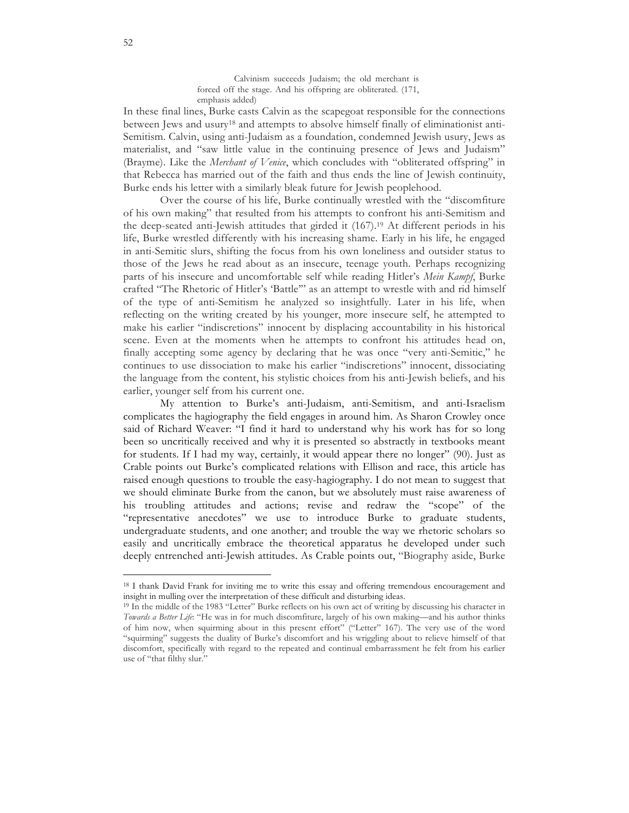Calvinism succeeds Judaism; the old merchant is forced off the stage. And his offspring are obliterated. (171, emphasis added)

In these final lines, Burke casts Calvin as the scapegoat responsible for the connections between Jews and usury<sup>18</sup> and attempts to absolve himself finally of eliminationist anti-Semitism. Calvin, using anti-Judaism as a foundation, condemned Jewish usury, Jews as materialist, and "saw little value in the continuing presence of Jews and Judaism" (Brayme). Like the *Merchant of Venice*, which concludes with "obliterated offspring" in that Rebecca has married out of the faith and thus ends the line of Jewish continuity, Burke ends his letter with a similarly bleak future for Jewish peoplehood.

Over the course of his life, Burke continually wrestled with the "discomfiture of his own making" that resulted from his attempts to confront his anti-Semitism and the deep-seated anti-Jewish attitudes that girded it (167).19 At different periods in his life, Burke wrestled differently with his increasing shame. Early in his life, he engaged in anti-Semitic slurs, shifting the focus from his own loneliness and outsider status to those of the Jews he read about as an insecure, teenage youth. Perhaps recognizing parts of his insecure and uncomfortable self while reading Hitler's *Mein Kampf*, Burke crafted "The Rhetoric of Hitler's 'Battle'" as an attempt to wrestle with and rid himself of the type of anti-Semitism he analyzed so insightfully. Later in his life, when reflecting on the writing created by his younger, more insecure self, he attempted to make his earlier "indiscretions" innocent by displacing accountability in his historical scene. Even at the moments when he attempts to confront his attitudes head on, finally accepting some agency by declaring that he was once "very anti-Semitic," he continues to use dissociation to make his earlier "indiscretions" innocent, dissociating the language from the content, his stylistic choices from his anti-Jewish beliefs, and his earlier, younger self from his current one.

My attention to Burke's anti-Judaism, anti-Semitism, and anti-Israelism complicates the hagiography the field engages in around him. As Sharon Crowley once said of Richard Weaver: "I find it hard to understand why his work has for so long been so uncritically received and why it is presented so abstractly in textbooks meant for students. If I had my way, certainly, it would appear there no longer" (90). Just as Crable points out Burke's complicated relations with Ellison and race, this article has raised enough questions to trouble the easy-hagiography. I do not mean to suggest that we should eliminate Burke from the canon, but we absolutely must raise awareness of his troubling attitudes and actions; revise and redraw the "scope" of the "representative anecdotes" we use to introduce Burke to graduate students, undergraduate students, and one another; and trouble the way we rhetoric scholars so easily and uncritically embrace the theoretical apparatus he developed under such deeply entrenched anti-Jewish attitudes. As Crable points out, "Biography aside, Burke

<sup>&</sup>lt;sup>18</sup> I thank David Frank for inviting me to write this essay and offering tremendous encouragement and insight in mulling over the interpretation of these difficult and disturbing ideas.

<sup>19</sup> In the middle of the 1983 "Letter" Burke reflects on his own act of writing by discussing his character in *Towards a Better Life*: "He was in for much discomfiture, largely of his own making—and his author thinks of him now, when squirming about in this present effort" ("Letter" 167). The very use of the word "squirming" suggests the duality of Burke's discomfort and his wriggling about to relieve himself of that discomfort, specifically with regard to the repeated and continual embarrassment he felt from his earlier use of "that filthy slur."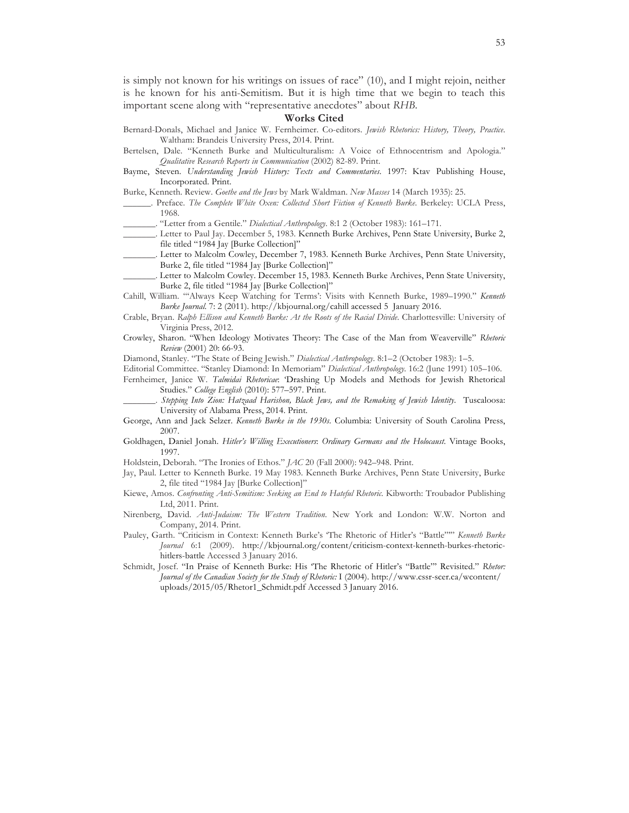is simply not known for his writings on issues of race" (10), and I might rejoin, neither is he known for his anti-Semitism. But it is high time that we begin to teach this important scene along with "representative anecdotes" about *RHB*.

#### **Works Cited**

- Bernard-Donals, Michael and Janice W. Fernheimer. Co-editors. *Jewish Rhetorics: History, Theory, Practice*. Waltham: Brandeis University Press, 2014. Print.
- Bertelsen, Dale. "Kenneth Burke and Multiculturalism: A Voice of Ethnocentrism and Apologia." *Qualitative Research Reports in Communication* (2002) 82-89. Print.
- Bayme, Steven. *Understanding Jewish History: Texts and Commentaries*. 1997: Ktav Publishing House, Incorporated. Print.

Burke, Kenneth. Review. *Goethe and the Jews* by Mark Waldman. *New Masses* 14 (March 1935): 25.

- \_\_\_\_\_\_. Preface. *The Complete White Oxen: Collected Short Fiction of Kenneth Burke*. Berkeley: UCLA Press, 1968.
- \_\_\_\_\_\_\_. "Letter from a Gentile." *Dialectical Anthropology*. 8:1 2 (October 1983): 161–171.
- \_\_\_\_\_\_\_. Letter to Paul Jay. December 5, 1983. Kenneth Burke Archives, Penn State University, Burke 2, file titled "1984 Jay [Burke Collection]"
- Letter to Malcolm Cowley, December 7, 1983. Kenneth Burke Archives, Penn State University, Burke 2, file titled "1984 Jay [Burke Collection]"
- Letter to Malcolm Cowley. December 15, 1983. Kenneth Burke Archives, Penn State University, Burke 2, file titled "1984 Jay [Burke Collection]"
- Cahill, William. "'Always Keep Watching for Terms': Visits with Kenneth Burke, 1989–1990." *Kenneth Burke Journal*. 7: 2 (2011). http://kbjournal.org/cahill accessed 5 January 2016.
- Crable, Bryan. *Ralph Ellison and Kenneth Burke: At the Roots of the Racial Divide*. Charlottesville: University of Virginia Press, 2012.
- Crowley, Sharon. "When Ideology Motivates Theory: The Case of the Man from Weaverville" *Rhetoric Review* (2001) 20: 66-93.

Diamond, Stanley. "The State of Being Jewish." *Dialectical Anthropology*. 8:1–2 (October 1983): 1–5.

Editorial Committee. "Stanley Diamond: In Memoriam" *Dialectical Anthropology*. 16:2 (June 1991) 105–106. Fernheimer, Janice W. *Talmidai Rhetoricae*: 'Drashing Up Models and Methods for Jewish Rhetorical Studies." *College English* (2010): 577–597. Print.

\_\_\_\_\_\_\_. *Stepping Into Zion: Hatzaad Harishon, Black Jews, and the Remaking of Jewish Identity*. Tuscaloosa: University of Alabama Press, 2014. Print.

- George, Ann and Jack Selzer. *Kenneth Burke in the 1930s*. Columbia: University of South Carolina Press, 2007.
- Goldhagen, Daniel Jonah. *Hitler's Willing Executioners*: *Ordinary Germans and the Holocaust*. Vintage Books, 1997.
- Holdstein, Deborah. "The Ironies of Ethos." *JAC* 20 (Fall 2000): 942–948. Print.
- Jay, Paul. Letter to Kenneth Burke. 19 May 1983. Kenneth Burke Archives, Penn State University, Burke 2, file tited "1984 Jay [Burke Collection]"
- Kiewe, Amos. *Confronting Anti-Semitism: Seeking an End to Hateful Rhetoric*. Kibworth: Troubador Publishing Ltd, 2011. Print.
- Nirenberg, David. *Anti-Judaism: The Western Tradition*. New York and London: W.W. Norton and Company, 2014. Print.
- Pauley, Garth. "Criticism in Context: Kenneth Burke's 'The Rhetoric of Hitler's "Battle"'" *Kenneth Burke Journal* 6:1 (2009). http://kbjournal.org/content/criticism-context-kenneth-burkes-rhetorichitlers-battle Accessed 3 January 2016.
- Schmidt, Josef. "In Praise of Kenneth Burke: His 'The Rhetoric of Hitler's "Battle"' Revisited." *Rhetor: Journal of the Canadian Society for the Study of Rhetoric:* I (2004). http://www.cssr-scer.ca/wcontent/ uploads/2015/05/Rhetor1\_Schmidt.pdf Accessed 3 January 2016.